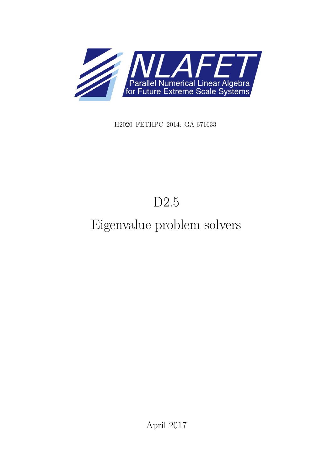

H2020–FETHPC–2014: GA 671633

# D2.5

# Eigenvalue problem solvers

April 2017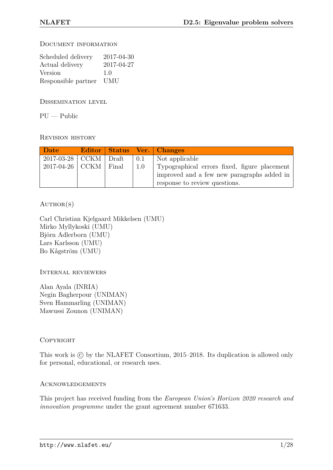Document information

| Scheduled delivery  | 2017-04-30 |
|---------------------|------------|
| Actual delivery     | 2017-04-27 |
| Version             | 1.0        |
| Responsible partner | <b>UMU</b> |

Dissemination level

 $PU - Public$ 

Revision history

| Date                    |  |     | Editor Status Ver. Changes                                                                                                  |
|-------------------------|--|-----|-----------------------------------------------------------------------------------------------------------------------------|
| $2017-03-28$ CCKM Draft |  | 0.1 | Not applicable                                                                                                              |
| $2017-04-26$ CCKM Final |  | 1.0 | Typographical errors fixed, figure placement<br>improved and a few new paragraphs added in<br>response to review questions. |

 $AUTHOR(S)$ 

Carl Christian Kjelgaard Mikkelsen (UMU) Mirko Myllykoski (UMU) Björn Adlerborn (UMU) Lars Karlsson (UMU) Bo Kågström (UMU)

Internal reviewers

Alan Ayala (INRIA) Negin Bagherpour (UNIMAN) Sven Hammarling (UNIMAN) Mawussi Zounon (UNIMAN)

#### **COPYRIGHT**

This work is  $\odot$  by the NLAFET Consortium, 2015–2018. Its duplication is allowed only for personal, educational, or research uses.

#### Acknowledgements

This project has received funding from the *European Union's Horizon 2020 research and innovation programme* under the grant agreement number 671633.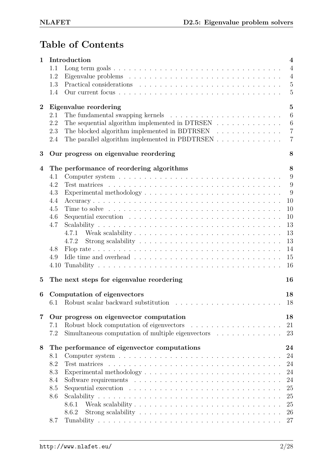# **Table of Contents**

| 1                       | Introduction<br>1.1                                                                                           | $\overline{\mathbf{4}}$<br>$\overline{4}$ |
|-------------------------|---------------------------------------------------------------------------------------------------------------|-------------------------------------------|
|                         | 1.2                                                                                                           | $\overline{4}$                            |
|                         | 1.3                                                                                                           | $\overline{5}$                            |
|                         | 1.4                                                                                                           | $\overline{5}$                            |
| $\boldsymbol{2}$        |                                                                                                               | $\overline{5}$                            |
|                         | Eigenvalue reordering<br>2.1                                                                                  | $6\phantom{.}6$                           |
|                         | The sequential algorithm implemented in DTRSEN $\ldots$ ,<br>2.2                                              |                                           |
|                         |                                                                                                               | $6\phantom{.}6$                           |
|                         | The blocked algorithm implemented in BDTRSEN $\ldots$ ,<br>2.3                                                | $\overline{7}$<br>$\overline{7}$          |
|                         | The parallel algorithm implemented in PBDTRSEN<br>2.4                                                         |                                           |
| 3                       | Our progress on eigenvalue reordering                                                                         | 8                                         |
| $\overline{4}$          | The performance of reordering algorithms                                                                      | 8                                         |
|                         | 4.1                                                                                                           | 9                                         |
|                         | 4.2                                                                                                           | 9                                         |
|                         | 4.3                                                                                                           | 9                                         |
|                         | 4.4                                                                                                           | 10                                        |
|                         | 4.5                                                                                                           | 10                                        |
|                         | Sequential execution $\ldots \ldots \ldots \ldots \ldots \ldots \ldots \ldots \ldots$<br>4.6                  | 10                                        |
|                         | 4.7                                                                                                           | 13                                        |
|                         | 4.7.1                                                                                                         | 13                                        |
|                         | 4.7.2                                                                                                         | 13                                        |
|                         | Flop rate $\ldots \ldots \ldots \ldots \ldots \ldots \ldots \ldots \ldots \ldots \ldots \ldots \ldots$<br>4.8 | 14                                        |
|                         | 4.9                                                                                                           | 15                                        |
|                         | 4.10                                                                                                          | 16                                        |
| $\mathbf{5}$            | The next steps for eigenvalue reordering                                                                      | 16                                        |
| 6                       | Computation of eigenvectors                                                                                   | 18                                        |
|                         |                                                                                                               | 18                                        |
| $\overline{\mathbf{7}}$ | Our progress on eigenvector computation                                                                       | 18                                        |
|                         | 7.1                                                                                                           | 21                                        |
|                         | 7.2<br>Simultaneous computation of multiple eigenvectors $\ldots \ldots \ldots \ldots$                        | 23                                        |
| 8                       | The performance of eigenvector computations                                                                   | 24                                        |
|                         | Computer system $\dots \dots \dots \dots \dots \dots \dots \dots \dots \dots \dots \dots \dots$<br>8.1        | 24                                        |
|                         | 8.2<br>Test matrices                                                                                          | 24                                        |
|                         | 8.3                                                                                                           | 24                                        |
|                         | 8.4                                                                                                           | 24                                        |
|                         | 8.5<br>Sequential execution $\ldots \ldots \ldots \ldots \ldots \ldots \ldots \ldots \ldots \ldots$           | 25                                        |
|                         | 8.6                                                                                                           | 25                                        |
|                         | 8.6.1                                                                                                         | 25                                        |
|                         | 8.6.2                                                                                                         | 26                                        |
|                         | 8.7                                                                                                           | 27                                        |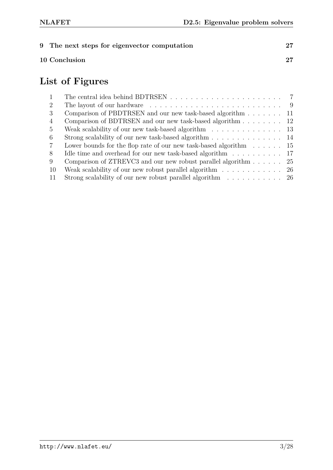| 9 The next steps for eigenvector computation |    |
|----------------------------------------------|----|
| 10 Conclusion                                | 27 |

# **List of Figures**

| $\overline{1}$ |                                                                                          |  |
|----------------|------------------------------------------------------------------------------------------|--|
| $\overline{2}$ |                                                                                          |  |
| 3              | Comparison of PBDTRSEN and our new task-based algorithm 11                               |  |
| $\overline{4}$ | Comparison of BDTRSEN and our new task-based algorithm 12                                |  |
| $\overline{5}$ | Weak scalability of our new task-based algorithm $\ldots \ldots \ldots \ldots \ldots$ 13 |  |
| 6              | Strong scalability of our new task-based algorithm 14                                    |  |
| $\overline{7}$ | Lower bounds for the flop rate of our new task-based algorithm $\dots \dots 15$          |  |
| 8              | Idle time and overhead for our new task-based algorithm $\ldots \ldots \ldots \ldots$ 17 |  |
| 9              | Comparison of ZTREVC3 and our new robust parallel algorithm $\ldots$ 25                  |  |
| -10            | Weak scalability of our new robust parallel algorithm $\ldots \ldots \ldots \ldots$ 26   |  |
| -11            | Strong scalability of our new robust parallel algorithm $\ldots \ldots \ldots$ 26        |  |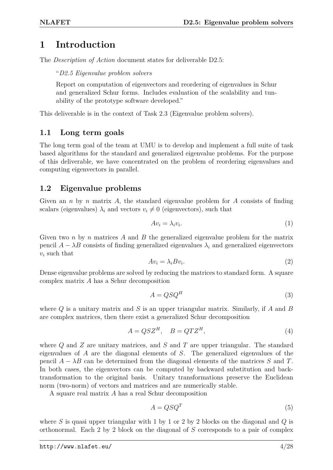## **1 Introduction**

The *Description of Action* document states for deliverable D2.5:

"*D2.5 Eigenvalue problem solvers*

Report on computation of eigenvectors and reordering of eigenvalues in Schur and generalized Schur forms. Includes evaluation of the scalability and tunability of the prototype software developed."

This deliverable is in the context of Task 2.3 (Eigenvalue problem solvers).

#### **1.1 Long term goals**

The long term goal of the team at UMU is to develop and implement a full suite of task based algorithms for the standard and generalized eigenvalue problems. For the purpose of this deliverable, we have concentrated on the problem of reordering eigenvalues and computing eigenvectors in parallel.

#### **1.2 Eigenvalue problems**

Given an *n* by *n* matrix *A*, the standard eigenvalue problem for *A* consists of finding scalars (eigenvalues)  $\lambda_i$  and vectors  $v_i \neq 0$  (eigenvectors), such that

$$
Av_i = \lambda_i v_i. \tag{1}
$$

Given two *n* by *n* matrices *A* and *B* the generalized eigenvalue problem for the matrix pencil  $A - \lambda B$  consists of finding generalized eigenvalues  $\lambda_i$  and generalized eigenvectors *v<sup>i</sup>* such that

$$
Av_i = \lambda_i B v_i. \tag{2}
$$

Dense eigenvalue problems are solved by reducing the matrices to standard form. A square complex matrix *A* has a Schur decomposition

$$
A = QSQ^H \tag{3}
$$

where *Q* is a unitary matrix and *S* is an upper triangular matrix. Similarly, if *A* and *B* are complex matrices, then there exist a generalized Schur decomposition

$$
A = QSZ^H, \quad B = QTZ^H,\tag{4}
$$

where *Q* and *Z* are unitary matrices, and *S* and *T* are upper triangular. The standard eigenvalues of *A* are the diagonal elements of *S*. The generalized eigenvalues of the pencil  $A - \lambda B$  can be determined from the diagonal elements of the matrices *S* and *T*. In both cases, the eigenvectors can be computed by backward substitution and backtransformation to the original basis. Unitary transformations preserve the Euclidean norm (two-norm) of vectors and matrices and are numerically stable.

A square real matrix *A* has a real Schur decomposition

$$
A = QSQ^T \tag{5}
$$

where *S* is quasi upper triangular with 1 by 1 or 2 by 2 blocks on the diagonal and *Q* is orthonormal. Each 2 by 2 block on the diagonal of *S* corresponds to a pair of complex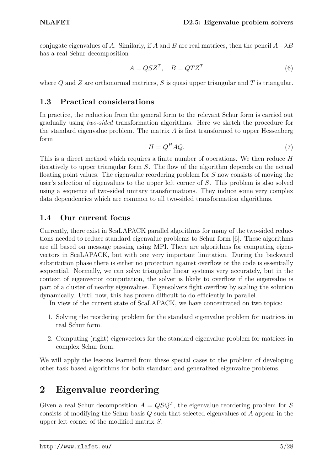conjugate eigenvalues of *A*. Similarly, if *A* and *B* are real matrices, then the pencil  $A - \lambda B$ has a real Schur decomposition

$$
A = QSZ^T, \quad B = QTZ^T \tag{6}
$$

where *Q* and *Z* are orthonormal matrices, *S* is quasi upper triangular and *T* is triangular.

#### **1.3 Practical considerations**

In practice, the reduction from the general form to the relevant Schur form is carried out gradually using *two-sided* transformation algorithms. Here we sketch the procedure for the standard eigenvalue problem. The matrix *A* is first transformed to upper Hessenberg form

$$
H = Q^H A Q. \tag{7}
$$

This is a direct method which requires a finite number of operations. We then reduce *H* iteratively to upper triangular form *S*. The flow of the algorithm depends on the actual floating point values. The eigenvalue reordering problem for *S* now consists of moving the user's selection of eigenvalues to the upper left corner of *S*. This problem is also solved using a sequence of two-sided unitary transformations. They induce some very complex data dependencies which are common to all two-sided transformation algorithms.

#### **1.4 Our current focus**

Currently, there exist in ScaLAPACK parallel algorithms for many of the two-sided reductions needed to reduce standard eigenvalue problems to Schur form [6]. These algorithms are all based on message passing using MPI. There are algorithms for computing eigenvectors in ScaLAPACK, but with one very important limitation. During the backward substitution phase there is either no protection against overflow or the code is essentially sequential. Normally, we can solve triangular linear systems very accurately, but in the context of eigenvector computation, the solver is likely to overflow if the eigenvalue is part of a cluster of nearby eigenvalues. Eigensolvers fight overflow by scaling the solution dynamically. Until now, this has proven difficult to do efficiently in parallel.

In view of the current state of ScaLAPACK, we have concentrated on two topics:

- 1. Solving the reordering problem for the standard eigenvalue problem for matrices in real Schur form.
- 2. Computing (right) eigenvectors for the standard eigenvalue problem for matrices in complex Schur form.

We will apply the lessons learned from these special cases to the problem of developing other task based algorithms for both standard and generalized eigenvalue problems.

# **2 Eigenvalue reordering**

Given a real Schur decomposition  $A = QSQ^T$ , the eigenvalue reordering problem for *S* consists of modifying the Schur basis *Q* such that selected eigenvalues of *A* appear in the upper left corner of the modified matrix *S*.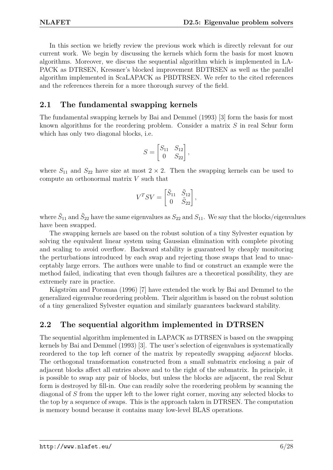In this section we briefly review the previous work which is directly relevant for our current work. We begin by discussing the kernels which form the basis for most known algorithms. Moreover, we discuss the sequential algorithm which is implemented in LA-PACK as DTRSEN, Kressner's blocked improvement BDTRSEN as well as the parallel algorithm implemented in ScaLAPACK as PBDTRSEN. We refer to the cited references and the references therein for a more thorough survey of the field.

#### **2.1 The fundamental swapping kernels**

The fundamental swapping kernels by Bai and Demmel (1993) [3] form the basis for most known algorithms for the reordering problem. Consider a matrix *S* in real Schur form which has only two diagonal blocks, i.e.

$$
S = \begin{bmatrix} S_{11} & S_{12} \\ 0 & S_{22} \end{bmatrix},
$$

where  $S_{11}$  and  $S_{22}$  have size at most  $2 \times 2$ . Then the swapping kernels can be used to compute an orthonormal matrix *V* such that

$$
V^T S V = \begin{bmatrix} \tilde{S}_{11} & \tilde{S}_{12} \\ 0 & \tilde{S}_{22} \end{bmatrix},
$$

where  $\tilde{S}_{11}$  and  $\tilde{S}_{22}$  have the same eigenvalues as  $S_{22}$  and  $S_{11}$ . We say that the blocks/eigenvalues have been swapped.

The swapping kernels are based on the robust solution of a tiny Sylvester equation by solving the equivalent linear system using Gaussian elimination with complete pivoting and scaling to avoid overflow. Backward stability is guaranteed by cheaply monitoring the perturbations introduced by each swap and rejecting those swaps that lead to unacceptably large errors. The authors were unable to find or construct an example were the method failed, indicating that even though failures are a theoretical possibility, they are extremely rare in practice.

Kågström and Poromaa (1996) [7] have extended the work by Bai and Demmel to the generalized eigenvalue reordering problem. Their algorithm is based on the robust solution of a tiny generalized Sylvester equation and similarly guarantees backward stability.

#### **2.2 The sequential algorithm implemented in DTRSEN**

The sequential algorithm implemented in LAPACK as DTRSEN is based on the swapping kernels by Bai and Demmel (1993) [3]. The user's selection of eigenvalues is systematically reordered to the top left corner of the matrix by repeatedly swapping *adjacent* blocks. The orthogonal transformation constructed from a small submatrix enclosing a pair of adjacent blocks affect all entries above and to the right of the submatrix. In principle, it is possible to swap any pair of blocks, but unless the blocks are adjacent, the real Schur form is destroyed by fill-in. One can readily solve the reordering problem by scanning the diagonal of *S* from the upper left to the lower right corner, moving any selected blocks to the top by a sequence of swaps. This is the approach taken in DTRSEN. The computation is memory bound because it contains many low-level BLAS operations.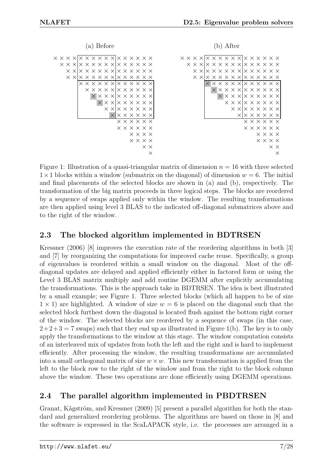| a) Before                                                                 | After                                                                 |
|---------------------------------------------------------------------------|-----------------------------------------------------------------------|
| $\times$ x x x $\times$ x x x x x x x x x x x x                           | $\times$ x x x $\times$ x x x x x x x x x x x x                       |
| $\times$ x x lx $\times$ x $\times$ x x lx $\times$ x $\times$ x $\times$ | $\times$ x x lx x x x x x x lx x x x x x                              |
| $\times$ XIX $\times$ X $\times$ X XIX $\times$ X $\times$ X $\times$     | $\times$ XIX $\times$ X $\times$ X XIX $\times$ X $\times$ X $\times$ |
|                                                                           |                                                                       |
|                                                                           |                                                                       |
|                                                                           |                                                                       |
| $X$ $X$ $X$ $X$ $X$ $X$ $X$ $X$ $X$                                       | $X$ $X$ $X$ $X$ $X$ $X$ $X$ $X$ $X$                                   |
| $X$ $X$ $X$ $X$ $X$ $X$ $X$ $X$                                           |                                                                       |
| $\times$ XIX $\times$ X $\times$ X $\times$                               | $\times$ XIX $\times$ X $\times$ X $\times$                           |
| $X$ $X$ $X$ $X$ $X$ $X$                                                   | $X$ $X$ $X$ $X$ $X$ $X$                                               |
| $\times$ $\times$ $\times$ $\times$ $\times$                              | $\times$ $\times$ $\times$ $\times$ $\times$ $\times$                 |
| $\times$ $\times$ $\times$ $\times$ $\times$ $\times$                     | $\times$ $\times$ $\times$ $\times$ $\times$                          |
| $\times$ $\times$ $\times$ $\times$                                       | $\times$ $\times$ $\times$ $\times$                                   |
| $\times$ $\times$ $\times$ $\times$                                       | $\times$ $\times$ $\times$ $\times$                                   |
| $\times$ $\times$                                                         | хx                                                                    |

Figure 1: Illustration of a quasi-triangular matrix of dimension  $n = 16$  with three selected  $1\times1$  blocks within a window (submatrix on the diagonal) of dimension  $w = 6$ . The initial and final placements of the selected blocks are shown in (a) and (b), respectively. The transformation of the big matrix proceeds in three logical steps. The blocks are reordered by a sequence of swaps applied only within the window. The resulting transformations are then applied using level 3 BLAS to the indicated off-diagonal submatrices above and to the right of the window.

#### **2.3 The blocked algorithm implemented in BDTRSEN**

Kressner (2006) [8] improves the execution rate of the reordering algorithms in both [3] and [7] by reorganizing the computations for improved cache reuse. Specifically, a group of eigenvalues is reordered within a small window on the diagonal. Most of the offdiagonal updates are delayed and applied efficiently either in factored form or using the Level 3 BLAS matrix multiply and add routine DGEMM after explicitly accumulating the transformations. This is the approach take in BDTRSEN. The idea is best illustrated by a small example; see Figure 1. Three selected blocks (which all happen to be of size  $1 \times 1$ ) are highlighted. A window of size  $w = 6$  is placed on the diagonal such that the selected block furthest down the diagonal is located flush against the bottom right corner of the window. The selected blocks are reordered by a sequence of swaps (in this case,  $2+2+3=7$  swaps) such that they end up as illustrated in Figure 1(b). The key is to only apply the transformations to the window at this stage. The window computation consists of an interleaved mix of updates from both the left and the right and is hard to implement efficiently. After processing the window, the resulting transformations are accumulated into a small orthogonal matrix of size  $w \times w$ . This new transformation is applied from the left to the block row to the right of the window and from the right to the block column above the window. These two operations are done efficiently using DGEMM operations.

#### **2.4 The parallel algorithm implemented in PBDTRSEN**

Granat, Kågström, and Kressner (2009) [5] present a parallel algorithm for both the standard and generalized reordering problems. The algorithms are based on those in [8] and the software is expressed in the ScaLAPACK style, i.e. the processes are arranged in a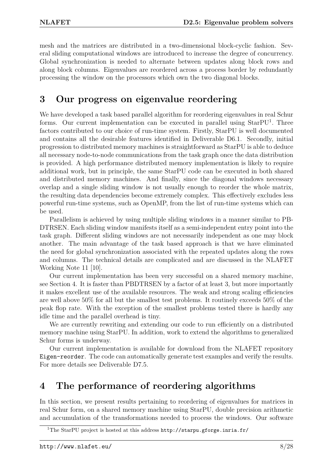mesh and the matrices are distributed in a two-dimensional block-cyclic fashion. Several sliding computational windows are introduced to increase the degree of concurrency. Global synchronization is needed to alternate between updates along block rows and along block columns. Eigenvalues are reordered across a process border by redundantly processing the window on the processors which own the two diagonal blocks.

# **3 Our progress on eigenvalue reordering**

We have developed a task based parallel algorithm for reordering eigenvalues in real Schur forms. Our current implementation can be executed in parallel using  $StarPU<sup>1</sup>$ . Three factors contributed to our choice of run-time system. Firstly, StarPU is well documented and contains all the desirable features identified in Deliverable D6.1. Secondly, initial progression to distributed memory machines is straightforward as StarPU is able to deduce all necessary node-to-node communications from the task graph once the data distribution is provided. A high performance distributed memory implementation is likely to require additional work, but in principle, the same StarPU code can be executed in both shared and distributed memory machines. And finally, since the diagonal windows necessary overlap and a single sliding window is not usually enough to reorder the whole matrix, the resulting data dependencies become extremely complex. This effectively excludes less powerful run-time systems, such as OpenMP, from the list of run-time systems which can be used.

Parallelism is achieved by using multiple sliding windows in a manner similar to PB-DTRSEN. Each sliding window manifests itself as a semi-independent entry point into the task graph. Different sliding windows are not necessarily independent as one may block another. The main advantage of the task based approach is that we have eliminated the need for global synchronization associated with the repeated updates along the rows and columns. The technical details are complicated and are discussed in the NLAFET Working Note 11 [10].

Our current implementation has been very successful on a shared memory machine, see Section 4. It is faster than PBDTRSEN by a factor of at least 3, but more importantly it makes excellent use of the available resources. The weak and strong scaling efficiencies are well above 50% for all but the smallest test problems. It routinely exceeds 50% of the peak flop rate. With the exception of the smallest problems tested there is hardly any idle time and the parallel overhead is tiny.

We are currently rewriting and extending our code to run efficiently on a distributed memory machine using StarPU. In addition, work to extend the algorithms to generalized Schur forms is underway.

Our current implementation is available for download from the NLAFET repository Eigen-reorder. The code can automatically generate test examples and verify the results. For more details see Deliverable D7.5.

# **4 The performance of reordering algorithms**

In this section, we present results pertaining to reordering of eigenvalues for matrices in real Schur form, on a shared memory machine using StarPU, double precision arithmetic and accumulation of the transformations needed to process the windows. Our software

 $1$ The StarPU project is hosted at this address  ${\tt http://starpu.gforge.inria.fr/}$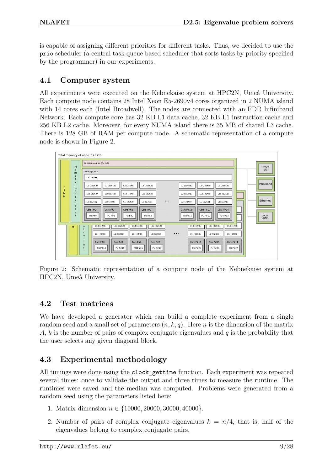is capable of assigning different priorities for different tasks. Thus, we decided to use the prio scheduler (a central task queue based scheduler that sorts tasks by priority specified by the programmer) in our experiments.

#### **4.1 Computer system**

All experiments were executed on the Kebnekaise system at HPC2N, Umeå University. Each compute node contains 28 Intel Xeon E5-2690v4 cores organized in 2 NUMA island with 14 cores each (Intel Broadwell). The nodes are connected with an FDR Infiniband Network. Each compute core has 32 KB L1 data cache, 32 KB L1 instruction cache and 256 KB L2 cache. Moreover, for every NUMA island there is 35 MB of shared L3 cache. There is 128 GB of RAM per compute node. A schematic representation of a compute node is shown in Figure 2.



Figure 2: Schematic representation of a compute node of the Kebnekaise system at HPC2N, Umeå University.

#### **4.2 Test matrices**

We have developed a generator which can build a complete experiment from a single random seed and a small set of parameters (*n, k, q*). Here *n* is the dimension of the matrix *A*, *k* is the number of pairs of complex conjugate eigenvalues and *q* is the probability that the user selects any given diagonal block.

### **4.3 Experimental methodology**

All timings were done using the clock\_gettime function. Each experiment was repeated several times: once to validate the output and three times to measure the runtime. The runtimes were saved and the median was computed. Problems were generated from a random seed using the parameters listed here:

- 1. Matrix dimension *n* ∈ {10000*,* 20000*,* 30000*,* 40000}.
- 2. Number of pairs of complex conjugate eigenvalues  $k = n/4$ , that is, half of the eigenvalues belong to complex conjugate pairs.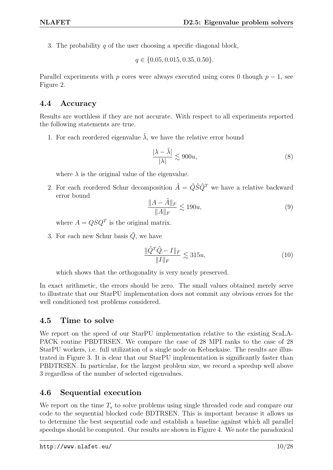3. The probability *q* of the user choosing a specific diagonal block,

$$
q \in \{0.05, 0.015, 0.35, 0.50\}.
$$

Parallel experiments with *p* cores were always executed using cores 0 though  $p-1$ , see Figure 2.

#### **4.4 Accuracy**

Results are worthless if they are not accurate. With respect to all experiments reported the following statements are true.

1. For each reordered eigenvalue  $\hat{\lambda}$ , we have the relative error bound

$$
\frac{|\lambda - \hat{\lambda}|}{|\lambda|} \lesssim 900u,\tag{8}
$$

where  $\lambda$  is the original value of the eigenvalue.

2. For each reordered Schur decomposition  $\hat{A} = \hat{Q}\hat{S}\hat{Q}^T$  we have a relative backward error bound

$$
\frac{\|A - \hat{A}\|_F}{\|A\|_F} \lesssim 190u,\tag{9}
$$

where  $A = QSQ^T$  is the original matrix.

3. For each new Schur basis  $\hat{Q}$ , we have

$$
\frac{\|\hat{Q}^T\hat{Q} - I\|_F}{\|I\|_F} \lesssim 315u,\tag{10}
$$

which shows that the orthogonality is very nearly preserved.

In exact arithmetic, the errors should be zero. The small values obtained merely serve to illustrate that our StarPU implementation does not commit any obvious errors for the well conditioned test problems considered.

#### **4.5 Time to solve**

We report on the speed of our StarPU implementation relative to the existing ScaLA-PACK routine PBDTRSEN. We compare the case of 28 MPI ranks to the case of 28 StarPU workers, i.e. full utilization of a single node on Kebnekaise. The results are illustrated in Figure 3. It is clear that our StarPU implementation is significantly faster than PBDTRSEN. In particular, for the largest problem size, we record a speedup well above 3 regardless of the number of selected eigenvalues.

#### **4.6 Sequential execution**

We report on the time  $T<sub>s</sub>$  to solve problems using single threaded code and compare our code to the sequential blocked code BDTRSEN. This is important because it allows us to determine the best sequential code and establish a baseline against which all parallel speedups should be computed. Our results are shown in Figure 4. We note the paradoxical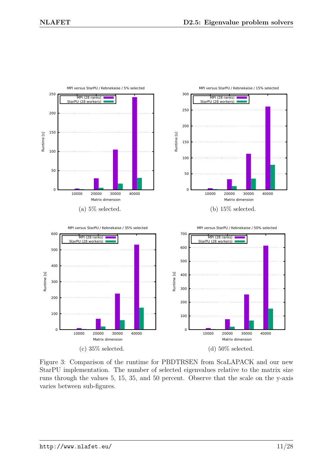

Figure 3: Comparison of the runtime for PBDTRSEN from ScaLAPACK and our new StarPU implementation. The number of selected eigenvalues relative to the matrix size runs through the values 5, 15, 35, and 50 percent. Observe that the scale on the y-axis varies between sub-figures.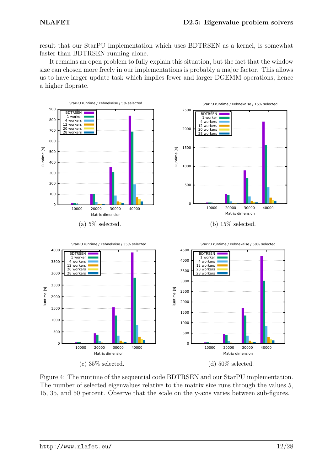result that our StarPU implementation which uses BDTRSEN as a kernel, is somewhat faster than BDTRSEN running alone.

It remains an open problem to fully explain this situation, but the fact that the window size can chosen more freely in our implementations is probably a major factor. This allows us to have larger update task which implies fewer and larger DGEMM operations, hence a higher floprate.



Figure 4: The runtime of the sequential code BDTRSEN and our StarPU implementation. The number of selected eigenvalues relative to the matrix size runs through the values 5, 15, 35, and 50 percent. Observe that the scale on the y-axis varies between sub-figures.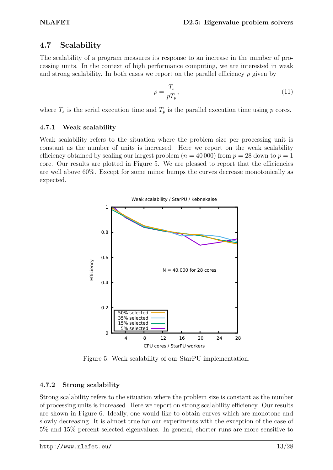#### **4.7 Scalability**

The scalability of a program measures its response to an increase in the number of processing units. In the context of high performance computing, we are interested in weak and strong scalability. In both cases we report on the parallel efficiency  $\rho$  given by

$$
\rho = \frac{T_s}{pT_p},\tag{11}
$$

where  $T_s$  is the serial execution time and  $T_p$  is the parallel execution time using  $p$  cores.

#### **4.7.1 Weak scalability**

Weak scalability refers to the situation where the problem size per processing unit is constant as the number of units is increased. Here we report on the weak scalability efficiency obtained by scaling our largest problem  $(n = 40000)$  from  $p = 28$  down to  $p = 1$ core. Our results are plotted in Figure 5. We are pleased to report that the efficiencies are well above 60%. Except for some minor bumps the curves decrease monotonically as expected.



Figure 5: Weak scalability of our StarPU implementation.

#### **4.7.2 Strong scalability**

Strong scalability refers to the situation where the problem size is constant as the number of processing units is increased. Here we report on strong scalability efficiency. Our results are shown in Figure 6. Ideally, one would like to obtain curves which are monotone and slowly decreasing. It is almost true for our experiments with the exception of the case of 5% and 15% percent selected eigenvalues. In general, shorter runs are more sensitive to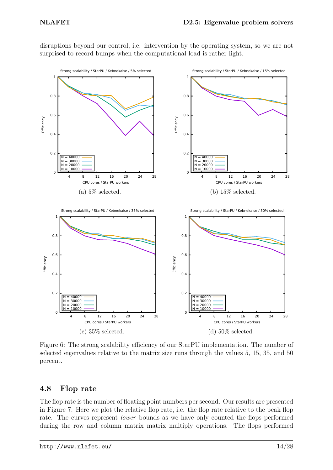

disruptions beyond our control, i.e. intervention by the operating system, so we are not surprised to record bumps when the computational load is rather light.

Figure 6: The strong scalability efficiency of our StarPU implementation. The number of selected eigenvalues relative to the matrix size runs through the values 5, 15, 35, and 50 percent.

#### **4.8 Flop rate**

The flop rate is the number of floating point numbers per second. Our results are presented in Figure 7. Here we plot the relative flop rate, i.e. the flop rate relative to the peak flop rate. The curves represent *lower* bounds as we have only counted the flops performed during the row and column matrix–matrix multiply operations. The flops performed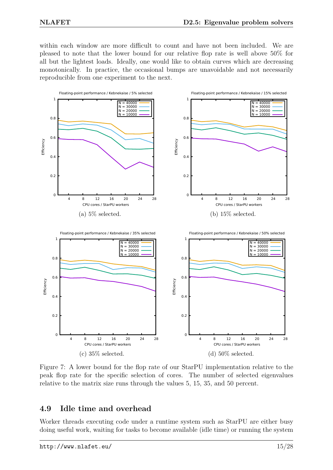within each window are more difficult to count and have not been included. We are pleased to note that the lower bound for our relative flop rate is well above 50% for all but the lightest loads. Ideally, one would like to obtain curves which are decreasing monotonically. In practice, the occasional bumps are unavoidable and not necessarily reproducible from one experiment to the next.



Figure 7: A lower bound for the flop rate of our StarPU implementation relative to the peak flop rate for the specific selection of cores. The number of selected eigenvalues relative to the matrix size runs through the values 5, 15, 35, and 50 percent.

#### **4.9 Idle time and overhead**

Worker threads executing code under a runtime system such as StarPU are either busy doing useful work, waiting for tasks to become available (idle time) or running the system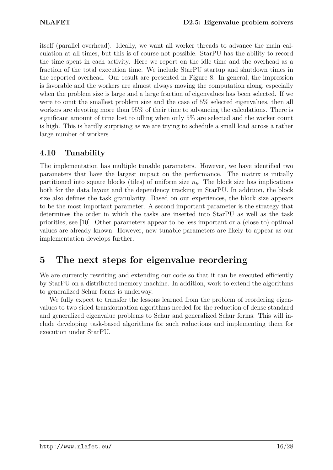itself (parallel overhead). Ideally, we want all worker threads to advance the main calculation at all times, but this is of course not possible. StarPU has the ability to record the time spent in each activity. Here we report on the idle time and the overhead as a fraction of the total execution time. We include StarPU startup and shutdown times in the reported overhead. Our result are presented in Figure 8. In general, the impression is favorable and the workers are almost always moving the computation along, especially when the problem size is large and a large fraction of eigenvalues has been selected. If we were to omit the smallest problem size and the case of 5% selected eigenvalues, then all workers are devoting more than 95% of their time to advancing the calculations. There is significant amount of time lost to idling when only 5% are selected and the worker count is high. This is hardly surprising as we are trying to schedule a small load across a rather large number of workers.

#### **4.10 Tunability**

The implementation has multiple tunable parameters. However, we have identified two parameters that have the largest impact on the performance. The matrix is initially partitioned into square blocks (tiles) of uniform size  $n<sub>b</sub>$ . The block size has implications both for the data layout and the dependency tracking in StarPU. In addition, the block size also defines the task granularity. Based on our experiences, the block size appears to be the most important parameter. A second important parameter is the strategy that determines the order in which the tasks are inserted into StarPU as well as the task priorities, see [10]. Other parameters appear to be less important or a (close to) optimal values are already known. However, new tunable parameters are likely to appear as our implementation develops further.

# **5 The next steps for eigenvalue reordering**

We are currently rewriting and extending our code so that it can be executed efficiently by StarPU on a distributed memory machine. In addition, work to extend the algorithms to generalized Schur forms is underway.

We fully expect to transfer the lessons learned from the problem of reordering eigenvalues to two-sided transformation algorithms needed for the reduction of dense standard and generalized eigenvalue problems to Schur and generalized Schur forms. This will include developing task-based algorithms for such reductions and implementing them for execution under StarPU.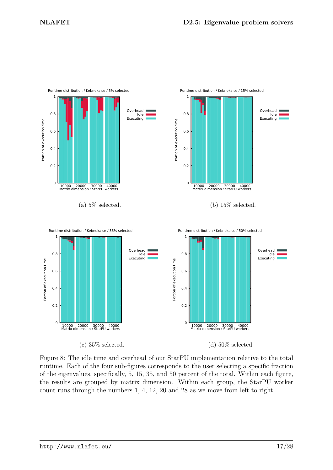

Figure 8: The idle time and overhead of our StarPU implementation relative to the total runtime. Each of the four sub-figures corresponds to the user selecting a specific fraction of the eigenvalues, specifically, 5, 15, 35, and 50 percent of the total. Within each figure, the results are grouped by matrix dimension. Within each group, the StarPU worker count runs through the numbers 1, 4, 12, 20 and 28 as we move from left to right.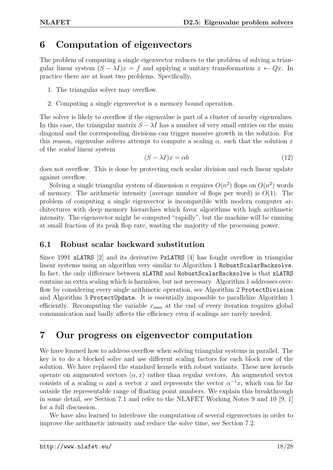# **6 Computation of eigenvectors**

The problem of computing a single eigenvector reduces to the problem of solving a triangular linear system  $(S - \lambda I)x = f$  and applying a unitary transformation  $x \leftarrow Qx$ . In practice there are at least two problems. Specifically,

- 1. The triangular solver may overflow.
- 2. Computing a single eigenvector is a memory bound operation.

The solver is likely to overflow if the eigenvalue is part of a cluster of nearby eigenvalues. In this case, the triangular matrix  $S - \lambda I$  has a number of very small entries on the main diagonal and the corresponding divisions can trigger massive growth in the solution. For this reason, eigenvalue solvers attempt to compute a scaling  $\alpha$ , such that the solution  $x$ of the *scaled* linear system

$$
(S - \lambda I)x = \alpha b \tag{12}
$$

does not overflow. This is done by protecting each scalar division and each linear update against overflow.

Solving a single triangular system of dimension *n* requires  $O(n^2)$  flops on  $O(n^2)$  words of memory. The arithmetic intensity (average number of flops per word) is *O*(1). The problem of computing a single eigenvector is incompatible with modern computer architectures with deep memory hierarchies which favor algorithms with high arithmetic intensity. The eigenvector might be computed "rapidly", but the machine will be running at small fraction of its peak flop rate, wasting the majority of the processing power.

#### **6.1 Robust scalar backward substitution**

Since 1991 xLATRS [2] and its derivative PxLATRS [4] has fought overflow in triangular linear systems using an algorithm very similar to Algorithm 1 RobustScalarBacksolve. In fact, the only difference between xLATRS and RobustScalarBacksolve is that xLATRS contains an extra scaling which is harmless, but not necessary. Algorithm 1 addresses overflow by considering every single arithmetic operation, see Algorithm 2 ProtectDivision and Algorithm 3 ProtectUpdate. It is essentially impossible to parallelize Algorithm 1 efficiently. Recomputing the variable  $x_{\text{max}}$  at the end of every iteration requires global communication and badly affects the efficiency even if scalings are rarely needed.

# **7 Our progress on eigenvector computation**

We have learned how to address overflow when solving triangular systems in parallel. The key is to do a blocked solve and use different scaling factors for each block row of the solution. We have replaced the standard kernels with robust variants. These new kernels operate on augmented vectors  $\langle \alpha, x \rangle$  rather than regular vectors. An augmented vector consists of a scaling  $\alpha$  and a vector *x* and represents the vector  $\alpha^{-1}x$ , which can lie far outside the representable range of floating point numbers. We explain this breakthrough in some detail, see Section 7.1 and refer to the NLAFET Working Notes 9 and 10 [9, 1] for a full discussion.

We have also learned to interleave the computation of several eigenvectors in order to improve the arithmetic intensity and reduce the solve time, see Section 7.2.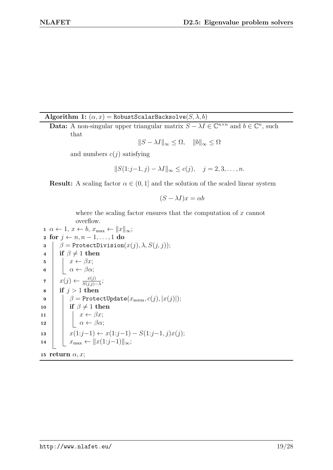Algorithm 1:  $(\alpha, x)$  = RobustScalarBacksolve $(S, \lambda, b)$ 

**Data:** A non-singular upper triangular matrix  $S - \lambda I \in \mathbb{C}^{n \times n}$  and  $b \in \mathbb{C}^n$ , such that

$$
||S - \lambda I||_{\infty} \le \Omega, \quad ||b||_{\infty} \le \Omega
$$

and numbers  $c(j)$  satisfying

$$
||S(1:j-1,j) - \lambda I||_{\infty} \le c(j), \quad j = 2, 3, ..., n.
$$

**Result:** A scaling factor  $\alpha \in (0, 1]$  and the solution of the scaled linear system

$$
(S - \lambda I)x = \alpha b
$$

where the scaling factor ensures that the computation of *x* cannot overflow.

```
\alpha \leftarrow 1, x \leftarrow b, x_{\text{max}} \leftarrow ||x||_{\infty};2 for j ← n, n − 1, . . . , 1 do
 3 \beta = \text{ProtectDivision}(x(j), \lambda, S(j, j));4 if \beta \neq 1 then
 5 \vert x \vert \rightarrow x \leftarrow \beta x;6 \vert \cdot \vert \cdot \alpha \leftarrow \beta \alpha;7 x(j) ← \frac{x(j)}{S(j,j)-\lambda};8 if j > 1 then
 9 \vert \quad \vert \quad \beta = \texttt{ProtectUpdate}(x_{\text{norm}}, c(j), |x(j)|);\mathbf{10} if \beta \neq 1 then
11 \vert x \vert = x \leftarrow \beta x;12 \vert \vert \alpha \leftarrow \beta \alpha;13 x(1:j−1) ← x(1:j−1) − S(1:j−1, j)x(j);
14 \| x_{\text{max}} \leftarrow \| x(1:j-1) \|_{\infty};15 return α, x;
```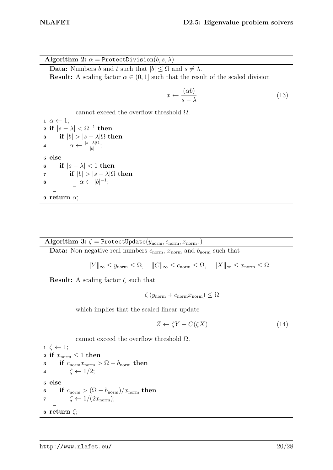**Algorithm 2:**  $\alpha = \text{ProtectDivision}(b, s, \lambda)$ 

**Data:** Numbers *b* and *t* such that  $|b| \leq \Omega$  and  $s \neq \lambda$ . **Result:** A scaling factor  $\alpha \in (0, 1]$  such that the result of the scaled division

$$
x \leftarrow \frac{(ab)}{s - \lambda} \tag{13}
$$

cannot exceed the overflow threshold  $\Omega$ .

1 
$$
\alpha \leftarrow 1
$$
;  
\n2 if  $|s - \lambda| < \Omega^{-1}$  then  
\n3 if  $|b| > |s - \lambda| \Omega$  then  
\n4  $\left| \begin{array}{ccc} \alpha < & \frac{|s - \lambda| \Omega}{|b|} \\ \alpha < & \frac{|s - \lambda| \Omega}{|b|} \end{array} \right|$ ;  
\n5 else  
\n6  $\left| \begin{array}{ccc} \text{if } |s - \lambda| < 1 \text{ then} \\ \text{if } |b| > |s - \lambda| \Omega \text{ then} \\ \alpha < & |b|^{-1} \end{array} \right|$ 

Algorithm 3:  $\zeta$  = ProtectUpdate( $y_{\text{norm}}, c_{\text{norm}}, x_{\text{norm}},$ )

**Data:** Non-negative real numbers  $c_{\text{norm}}$ ,  $x_{\text{norm}}$  and  $b_{\text{norm}}$  such that

$$
||Y||_{\infty} \leq y_{\text{norm}} \leq \Omega, \quad ||C||_{\infty} \leq c_{\text{norm}} \leq \Omega, \quad ||X||_{\infty} \leq x_{\text{norm}} \leq \Omega.
$$

**Result:** A scaling factor *ζ* such that

$$
\zeta \left( y_{\text{norm}} + c_{\text{norm}} x_{\text{norm}} \right) \leq \Omega
$$

which implies that the scaled linear update

$$
Z \leftarrow \zeta Y - C(\zeta X) \tag{14}
$$

cannot exceed the overflow threshold  $\Omega$ .

1 
$$
\zeta \leftarrow 1
$$
;  
\n2 if  $x_{\text{norm}} \le 1$  then  
\n3  $\begin{array}{c} \text{if } c_{\text{norm}} x_{\text{norm}} > \Omega - b_{\text{norm}}$  then  
\n4  $\begin{array}{c} \downarrow \zeta \leftarrow 1/2 \end{array}$ ;  
\n5 else  
\n6  $\begin{array}{c} \text{if } c_{\text{norm}} > (\Omega - b_{\text{norm}})/x_{\text{norm}}$  then  
\n7  $\begin{array}{c} \downarrow \zeta \leftarrow 1/(2x_{\text{norm}}); \end{array}$   
\n8 return  $\zeta$ ;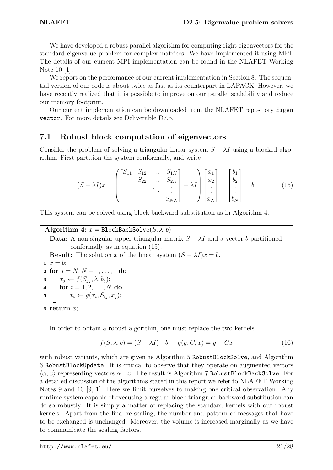We have developed a robust parallel algorithm for computing right eigenvectors for the standard eigenvalue problem for complex matrices. We have implemented it using MPI. The details of our current MPI implementation can be found in the NLAFET Working Note 10 [1].

We report on the performance of our current implementation in Section 8. The sequential version of our code is about twice as fast as its counterpart in LAPACK. However, we have recently realized that it is possible to improve on our parallel scalability and reduce our memory footprint.

Our current implementation can be downloaded from the NLAFET repository Eigen vector. For more details see Deliverable D7.5.

#### **7.1 Robust block computation of eigenvectors**

Consider the problem of solving a triangular linear system  $S - \lambda I$  using a blocked algorithm. First partition the system conformally, and write

$$
(S - \lambda I)x = \left( \begin{bmatrix} S_{11} & S_{12} & \dots & S_{1N} \\ & S_{22} & \dots & S_{2N} \\ & & \ddots & \vdots \\ & & & S_{NN} \end{bmatrix} - \lambda I \right) \begin{bmatrix} x_1 \\ x_2 \\ \vdots \\ x_N \end{bmatrix} = \begin{bmatrix} b_1 \\ b_2 \\ \vdots \\ b_N \end{bmatrix} = b. \tag{15}
$$

This system can be solved using block backward substitution as in Algorithm 4.

| Algorithm 4: $x = \text{BlockBackSolve}(S, \lambda, b)$                                        |
|------------------------------------------------------------------------------------------------|
| <b>Data:</b> A non-singular upper triangular matrix $S - \lambda I$ and a vector b partitioned |
| conformally as in equation $(15)$ .                                                            |
| <b>Result:</b> The solution x of the linear system $(S - \lambda I)x = b$ .                    |
| 1 $x = b$ ;                                                                                    |
| 2 for $j = N, N - 1, , 1$ do                                                                   |
| $s \mid x_j \leftarrow f(S_{ij}, \lambda, b_j);$                                               |
| 4   for $i = 1, 2, , N$ do                                                                     |
| $\mathbf{5}$ $\Big  \Big  \Big  x_i \leftarrow g(x_i, S_{ij}, x_j);$                           |
| $\epsilon$ return $x$ ;                                                                        |
|                                                                                                |

In order to obtain a robust algorithm, one must replace the two kernels

$$
f(S, \lambda, b) = (S - \lambda I)^{-1}b, \quad g(y, C, x) = y - Cx \tag{16}
$$

with robust variants, which are given as Algorithm 5 RobustBlockSolve, and Algorithm 6 RobustBlockUpdate. It is critical to observe that they operate on augmented vectors  $\langle \alpha, x \rangle$  representing vectors  $\alpha^{-1}x$ . The result is Algorithm 7 RobustBlockBackSolve. For a detailed discussion of the algorithms stated in this report we refer to NLAFET Working Notes 9 and 10 [9, 1]. Here we limit ourselves to making one critical observation. Any runtime system capable of executing a regular block triangular backward substitution can do so robustly. It is simply a matter of replacing the standard kernels with our robust kernels. Apart from the final re-scaling, the number and pattern of messages that have to be exchanged is unchanged. Moreover, the volume is increased marginally as we have to communicate the scaling factors.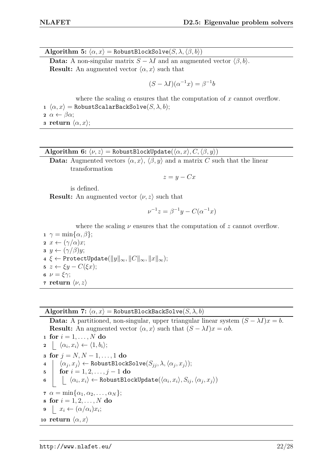$\mathbf{Algorithm 5: } \langle \alpha, x \rangle = \text{RobustBlockSolve}(S, \lambda, \langle \beta, b \rangle)$ 

**Data:** A non-singular matrix  $S - \lambda I$  and an augmented vector  $\langle \beta, b \rangle$ . **Result:** An augmented vector  $\langle \alpha, x \rangle$  such that

$$
(S - \lambda I)(\alpha^{-1}x) = \beta^{-1}b
$$

where the scaling  $\alpha$  ensures that the computation of  $x$  cannot overflow. **1**  $\langle \alpha, x \rangle$  = RobustScalarBackSolve $(S, \lambda, b)$ ;

**2**  $\alpha \leftarrow \beta \alpha$ ;

**3 return**  $\langle \alpha, x \rangle$ ;

**Algorithm 6:**  $\langle \nu, z \rangle$  = RobustBlockUpdate( $\langle \alpha, x \rangle, C, \langle \beta, y \rangle$ )

**Data:** Augmented vectors  $\langle \alpha, x \rangle$ ,  $\langle \beta, y \rangle$  and a matrix *C* such that the linear transformation

 $z = y - Cx$ 

is defined.

**Result:** An augmented vector  $\langle \nu, z \rangle$  such that

$$
\nu^{-1}z = \beta^{-1}y - C(\alpha^{-1}x)
$$

where the scaling  $\nu$  ensures that the computation of  $z$  cannot overflow.

  $\gamma = \min\{\alpha, \beta\};$   $x \leftarrow (\gamma/\alpha)x$ ; *y* ← (*γ/β*)*y*; *ξ* ← ProtectUpdate( $||y||_{∞}$ ,  $||C||_{∞}$ ,  $||x||_{∞}$ ); *z* ←  $ξy$  −  $C(ξx)$ ;  $\nu = \xi \gamma$ ;  **<b>return**  $\langle \nu, z \rangle$ 

**Algorithm 7:**  $\langle \alpha, x \rangle$  = RobustBlockBackSolve(*S,*  $\lambda$ *, b*)

**Data:** A partitioned, non-singular, upper triangular linear system  $(S - \lambda I)x = b$ . **Result:** An augmented vector  $\langle \alpha, x \rangle$  such that  $(S - \lambda I)x = \alpha b$ .

1 for 
$$
i = 1, ..., N
$$
 do  
\n2  $\lfloor \langle \alpha_i, x_i \rangle \leftarrow \langle 1, b_i \rangle;$   
\n3 for  $j = N, N - 1, ..., 1$  do  
\n4  $\begin{cases} \langle \alpha_j, x_j \rangle \leftarrow \text{RobustBlockSolve}(S_{jj}, \lambda, \langle \alpha_j, x_j \rangle); \\ \text{for } i = 1, 2, ..., j - 1 \text{ do} \\ \lfloor \langle \alpha_i, x_i \rangle \leftarrow \text{RobustBlockUpdate}(\langle \alpha_i, x_i \rangle, S_{ij}, \langle \alpha_j, x_j \rangle) \right) \end{cases}$   
\n7  $\alpha = \min{\{\alpha_1, \alpha_2, ..., \alpha_N\}};$   
\n8 for  $i = 1, 2, ..., N$  do  
\n9  $\lfloor x_i \leftarrow (\alpha/\alpha_i)x_i;$   
\n10 return  $\langle \alpha, x \rangle$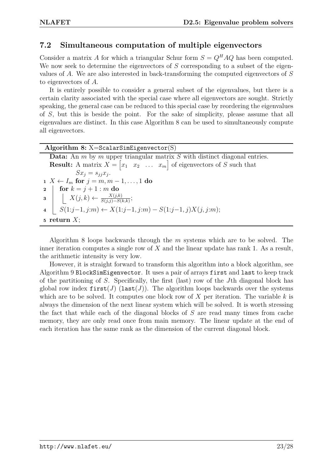#### **7.2 Simultaneous computation of multiple eigenvectors**

Consider a matrix *A* for which a triangular Schur form  $S = Q^H A Q$  has been computed. We now seek to determine the eigenvectors of *S* corresponding to a subset of the eigenvalues of *A*. We are also interested in back-transforming the computed eigenvectors of *S* to eigenvectors of *A*.

It is entirely possible to consider a general subset of the eigenvalues, but there is a certain clarity associated with the special case where all eigenvectors are sought. Strictly speaking, the general case can be reduced to this special case by reordering the eigenvalues of *S*, but this is beside the point. For the sake of simplicity, please assume that all eigenvalues are distinct. In this case Algorithm 8 can be used to simultaneously compute all eigenvectors.

| Algorithm 8: $X = \text{ScalarSimEigenvector}(S)$                                                                                                                                                                                                                                                                                                             |  |
|---------------------------------------------------------------------------------------------------------------------------------------------------------------------------------------------------------------------------------------------------------------------------------------------------------------------------------------------------------------|--|
| <b>Data:</b> An $m$ by $m$ upper triangular matrix $S$ with distinct diagonal entries.                                                                                                                                                                                                                                                                        |  |
| <b>Result:</b> A matrix $X = \begin{bmatrix} x_1 & x_2 & \dots & x_m \end{bmatrix}$ of eigenvectors of S such that                                                                                                                                                                                                                                            |  |
| $Sx_i = s_{ii}x_i.$                                                                                                                                                                                                                                                                                                                                           |  |
| $1 \; X \leftarrow I_m$ for $j = m, m-1, \ldots, 1$ do                                                                                                                                                                                                                                                                                                        |  |
|                                                                                                                                                                                                                                                                                                                                                               |  |
| 2 $\begin{array}{c} \textbf{for } k = j + 1 : m \textbf{ do} \\ \textbf{3} \begin{array}{c} \begin{array}{c} \begin{array}{c} \end{array} \\ \begin{array}{c} \end{array} \\ \begin{array}{c} \end{array} \\ \begin{array}{c} \end{array} \\ \begin{array}{c} S(1:j-1,j:m) \leftarrow X(1:j-1,j:m) - S(1:j-1,j)X(j,j:m); \end{array} \end{array} \end{array}$ |  |
|                                                                                                                                                                                                                                                                                                                                                               |  |
| 5 return $X$ ;                                                                                                                                                                                                                                                                                                                                                |  |

Algorithm 8 loops backwards through the *m* systems which are to be solved. The inner iteration computes a single row of *X* and the linear update has rank 1. As a result, the arithmetic intensity is very low.

However, it is straight forward to transform this algorithm into a block algorithm, see Algorithm 9 BlockSimEigenvector. It uses a pair of arrays first and last to keep track of the partitioning of *S*. Specifically, the first (last) row of the *J*th diagonal block has global row index  $first(J)$  (last(*J*)). The algorithm loops backwards over the systems which are to be solved. It computes one block row of *X* per iteration. The variable *k* is always the dimension of the next linear system which will be solved. It is worth stressing the fact that while each of the diagonal blocks of *S* are read many times from cache memory, they are only read once from main memory. The linear update at the end of each iteration has the same rank as the dimension of the current diagonal block.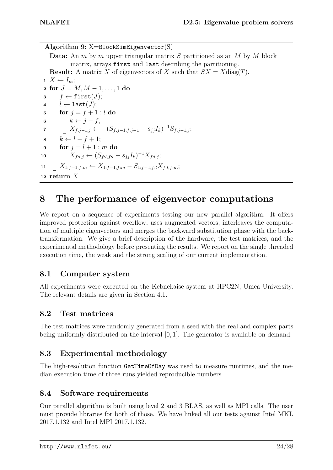**Algorithm 9:** X=BlockSimEigenvector(S) **Data:** An *m* by *m* upper triangular matrix *S* partitioned as an *M* by *M* block matrix, arrays first and last describing the partitioning. **Result:** A matrix *X* of eigenvectors of *X* such that  $SX = X \text{diag}(T)$ .  $1 \ X \leftarrow I_m$ ; **2** for  $J = M, M - 1, ..., 1$  do  $\mathbf{s}$   $\mid$   $f \leftarrow \texttt{first}(J);$  $4 \mid l \leftarrow \text{last}(J);$ **5 for**  $j = f + 1 : l$  **do 6**  $\vert \vert k \leftarrow j - f;$  $\mathcal{T}$  **d**  $X_{f:j-1,j} \leftarrow -(S_{f:j-1,f:j-1}-s_{jj}I_k)^{-1}S_{f:j-1,j};$  $\mathbf{s} \quad k \leftarrow l - f + 1$ ; **9 for**  $j = l + 1$  : *m* **do** 10 **a**  $\left| \quad X_{f:l,j} \leftarrow (S_{f:l,f:l} - s_{jj}I_k)^{-1}X_{f:l,j};$ **11**  $\left\{\right. X_{1:f-1,f:m} \leftarrow X_{1:f-1,f:m} - S_{1:f-1,f:l}X_{f:l,f:m};\right.$ **<sup>12</sup> return** *X*

# **8 The performance of eigenvector computations**

We report on a sequence of experiments testing our new parallel algorithm. It offers improved protection against overflow, uses augmented vectors, interleaves the computation of multiple eigenvectors and merges the backward substitution phase with the backtransformation. We give a brief description of the hardware, the test matrices, and the experimental methodology before presenting the results. We report on the single threaded execution time, the weak and the strong scaling of our current implementation.

#### **8.1 Computer system**

All experiments were executed on the Kebnekaise system at HPC2N, Umeå University. The relevant details are given in Section 4.1.

#### **8.2 Test matrices**

The test matrices were randomly generated from a seed with the real and complex parts being uniformly distributed on the interval [0*,* 1]. The generator is available on demand.

#### **8.3 Experimental methodology**

The high-resolution function GetTimeOfDay was used to measure runtimes, and the median execution time of three runs yielded reproducible numbers.

#### **8.4 Software requirements**

Our parallel algorithm is built using level 2 and 3 BLAS, as well as MPI calls. The user must provide libraries for both of those. We have linked all our tests against Intel MKL 2017.1.132 and Intel MPI 2017.1.132.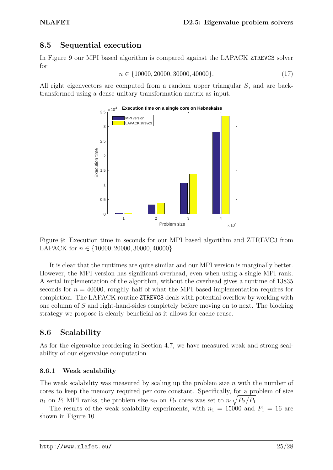#### **8.5 Sequential execution**

In Figure 9 our MPI based algorithm is compared against the LAPACK ZTREVC3 solver for

$$
n \in \{10000, 20000, 30000, 40000\}.\tag{17}
$$

All right eigenvectors are computed from a random upper triangular *S*, and are backtransformed using a dense unitary transformation matrix as input.



Figure 9: Execution time in seconds for our MPI based algorithm and ZTREVC3 from LAPACK for *n* ∈ {10000*,* 20000*,* 30000*,* 40000}.

It is clear that the runtimes are quite similar and our MPI version is marginally better. However, the MPI version has significant overhead, even when using a single MPI rank. A serial implementation of the algorithm, without the overhead gives a runtime of 13835 seconds for  $n = 40000$ , roughly half of what the MPI based implementation requires for completion. The LAPACK routine ZTREVC3 deals with potential overflow by working with one column of *S* and right-hand-sides completely before moving on to next. The blocking strategy we propose is clearly beneficial as it allows for cache reuse.

#### **8.6 Scalability**

As for the eigenvalue reordering in Section 4.7, we have measured weak and strong scalability of our eigenvalue computation.

#### **8.6.1 Weak scalability**

The weak scalability was measured by scaling up the problem size *n* with the number of cores to keep the memory required per core constant. Specifically, for a problem of size  $n_1$  on  $P_1$  MPI ranks, the problem size  $n_P$  on  $P_P$  cores was set to  $n_1\sqrt{P_P/P_1}$ .

The results of the weak scalability experiments, with  $n_1 = 15000$  and  $P_1 = 16$  are shown in Figure 10.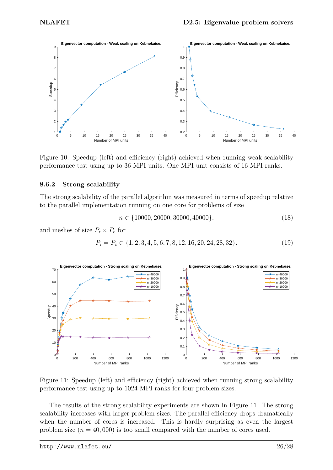

Figure 10: Speedup (left) and efficiency (right) achieved when running weak scalability performance test using up to 36 MPI units. One MPI unit consists of 16 MPI ranks.

#### **8.6.2 Strong scalability**

The strong scalability of the parallel algorithm was measured in terms of speedup relative to the parallel implementation running on one core for problems of size

$$
n \in \{10000, 20000, 30000, 40000\},\tag{18}
$$

and meshes of size  $P_r \times P_c$  for

$$
P_{\rm r} = P_{\rm c} \in \{1, 2, 3, 4, 5, 6, 7, 8, 12, 16, 20, 24, 28, 32\}.
$$
\n
$$
(19)
$$



Figure 11: Speedup (left) and efficiency (right) achieved when running strong scalability performance test using up to 1024 MPI ranks for four problem sizes.

The results of the strong scalability experiments are shown in Figure 11. The strong scalability increases with larger problem sizes. The parallel efficiency drops dramatically when the number of cores is increased. This is hardly surprising as even the largest problem size  $(n = 40,000)$  is too small compared with the number of cores used.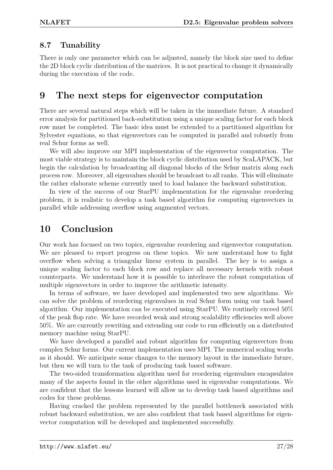#### **8.7 Tunability**

There is only one parameter which can be adjusted, namely the block size used to define the 2D block cyclic distribution of the matrices. It is not practical to change it dynamically during the execution of the code.

## **9 The next steps for eigenvector computation**

There are several natural steps which will be taken in the immediate future. A standard error analysis for partitioned back-substitution using a unique scaling factor for each block row must be completed. The basic idea must be extended to a partitioned algorithm for Sylvester equations, so that eigenvectors can be computed in parallel and robustly from real Schur forms as well.

We will also improve our MPI implementation of the eigenvector computation. The most viable strategy is to maintain the block cyclic distribution used by ScaLAPACK, but begin the calculation by broadcasting all diagonal blocks of the Schur matrix along each process row. Moreover, all eigenvalues should be broadcast to all ranks. This will eliminate the rather elaborate scheme currently used to load balance the backward substitution.

In view of the success of our StarPU implementation for the eigenvalue reordering problem, it is realistic to develop a task based algorithm for computing eigenvectors in parallel while addressing overflow using augmented vectors.

# **10 Conclusion**

Our work has focused on two topics, eigenvalue reordering and eigenvector computation. We are pleased to report progress on these topics. We now understand how to fight overflow when solving a triangular linear system in parallel. The key is to assign a unique scaling factor to each block row and replace all necessary kernels with robust counterparts. We understand how it is possible to interleave the robust computation of multiple eigenvectors in order to improve the arithmetic intensity.

In terms of software, we have developed and implemented two new algorithms. We can solve the problem of reordering eigenvalues in real Schur form using our task based algorithm. Our implementation can be executed using StarPU. We routinely exceed 50% of the peak flop rate. We have recorded weak and strong scalability efficiencies well above 50%. We are currently rewriting and extending our code to run efficiently on a distributed memory machine using StarPU.

We have developed a parallel and robust algorithm for computing eigenvectors from complex Schur forms. Our current implementation uses MPI. The numerical scaling works as it should. We anticipate some changes to the memory layout in the immediate future, but then we will turn to the task of producing task based software.

The two-sided transformation algorithm used for reordering eigenvalues encapsulates many of the aspects found in the other algorithms used in eigenvalue computations. We are confident that the lessons learned will allow us to develop task based algorithms and codes for these problems.

Having cracked the problem represented by the parallel bottleneck associated with robust backward substitution, we are also confident that task based algorithms for eigenvector computation will be developed and implemented successfully.